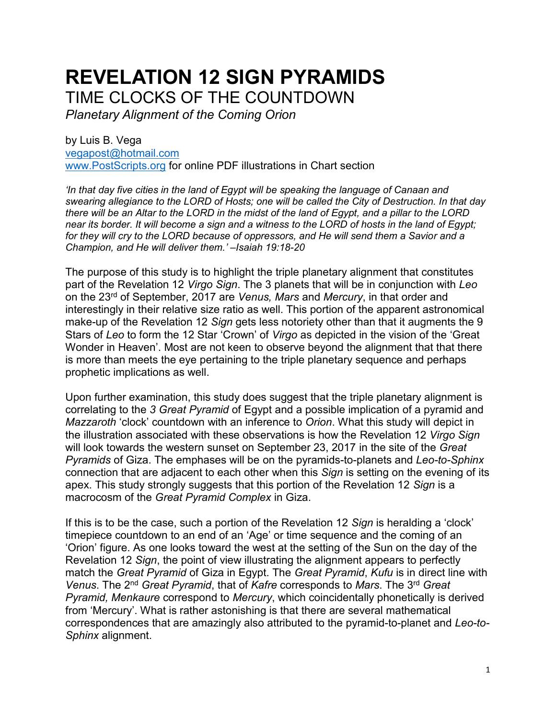# **REVELATION 12 SIGN PYRAMIDS** TIME CLOCKS OF THE COUNTDOWN

*Planetary Alignment of the Coming Orion*

by Luis B. Vega [vegapost@hotmail.com](mailto:vegapost@hotmail.com) [www.PostScripts.org](http://www.postscripts.org/) for online PDF illustrations in Chart section

*'In that day five cities in the land of Egypt will be speaking the language of Canaan and swearing allegiance to the LORD of Hosts; one will be called the City of Destruction. In that day there will be an Altar to the LORD in the midst of the land of Egypt, and a pillar to the LORD near its border. It will become a sign and a witness to the LORD of hosts in the land of Egypt; for they will cry to the LORD because of oppressors, and He will send them a Savior and a Champion, and He will deliver them.' –Isaiah 19:18-20*

The purpose of this study is to highlight the triple planetary alignment that constitutes part of the Revelation 12 *Virgo Sign*. The 3 planets that will be in conjunction with *Leo* on the 23rd of September, 2017 are *Venus, Mars* and *Mercury*, in that order and interestingly in their relative size ratio as well. This portion of the apparent astronomical make-up of the Revelation 12 *Sign* gets less notoriety other than that it augments the 9 Stars of *Leo* to form the 12 Star 'Crown' of *Virgo* as depicted in the vision of the 'Great Wonder in Heaven'. Most are not keen to observe beyond the alignment that that there is more than meets the eye pertaining to the triple planetary sequence and perhaps prophetic implications as well.

Upon further examination, this study does suggest that the triple planetary alignment is correlating to the *3 Great Pyramid* of Egypt and a possible implication of a pyramid and *Mazzaroth* 'clock' countdown with an inference to *Orion*. What this study will depict in the illustration associated with these observations is how the Revelation 12 *Virgo Sign* will look towards the western sunset on September 23, 2017 in the site of the *Great Pyramids* of Giza. The emphases will be on the pyramids-to-planets and *Leo-to-Sphinx* connection that are adjacent to each other when this *Sign* is setting on the evening of its apex. This study strongly suggests that this portion of the Revelation 12 *Sign* is a macrocosm of the *Great Pyramid Complex* in Giza.

If this is to be the case, such a portion of the Revelation 12 *Sign* is heralding a 'clock' timepiece countdown to an end of an 'Age' or time sequence and the coming of an 'Orion' figure. As one looks toward the west at the setting of the Sun on the day of the Revelation 12 *Sign*, the point of view illustrating the alignment appears to perfectly match the *Great Pyramid* of Giza in Egypt. The *Great Pyramid*, *Kufu* is in direct line with *Venus*. The 2nd *Great Pyramid*, that of *Kafre* corresponds to *Mars*. The 3rd *Great Pyramid, Menkaure* correspond to *Mercury*, which coincidentally phonetically is derived from 'Mercury'. What is rather astonishing is that there are several mathematical correspondences that are amazingly also attributed to the pyramid-to-planet and *Leo-to-Sphinx* alignment.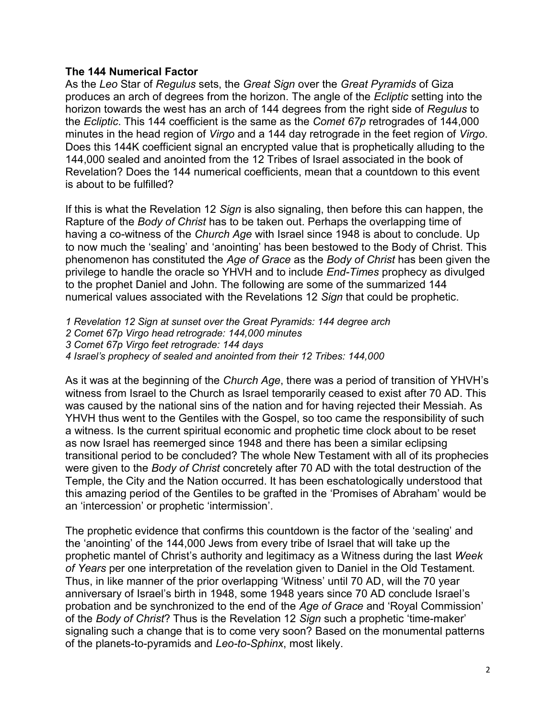#### **The 144 Numerical Factor**

As the *Leo* Star of *Regulus* sets, the *Great Sign* over the *Great Pyramids* of Giza produces an arch of degrees from the horizon. The angle of the *Ecliptic* setting into the horizon towards the west has an arch of 144 degrees from the right side of *Regulus* to the *Ecliptic*. This 144 coefficient is the same as the *Comet 67p* retrogrades of 144,000 minutes in the head region of *Virgo* and a 144 day retrograde in the feet region of *Virgo*. Does this 144K coefficient signal an encrypted value that is prophetically alluding to the 144,000 sealed and anointed from the 12 Tribes of Israel associated in the book of Revelation? Does the 144 numerical coefficients, mean that a countdown to this event is about to be fulfilled?

If this is what the Revelation 12 *Sign* is also signaling, then before this can happen, the Rapture of the *Body of Christ* has to be taken out. Perhaps the overlapping time of having a co-witness of the *Church Age* with Israel since 1948 is about to conclude. Up to now much the 'sealing' and 'anointing' has been bestowed to the Body of Christ. This phenomenon has constituted the *Age of Grace* as the *Body of Christ* has been given the privilege to handle the oracle so YHVH and to include *End-Times* prophecy as divulged to the prophet Daniel and John. The following are some of the summarized 144 numerical values associated with the Revelations 12 *Sign* that could be prophetic.

- *1 Revelation 12 Sign at sunset over the Great Pyramids: 144 degree arch*
- *2 Comet 67p Virgo head retrograde: 144,000 minutes*
- *3 Comet 67p Virgo feet retrograde: 144 days*
- *4 Israel's prophecy of sealed and anointed from their 12 Tribes: 144,000*

As it was at the beginning of the *Church Age*, there was a period of transition of YHVH's witness from Israel to the Church as Israel temporarily ceased to exist after 70 AD. This was caused by the national sins of the nation and for having rejected their Messiah. As YHVH thus went to the Gentiles with the Gospel, so too came the responsibility of such a witness. Is the current spiritual economic and prophetic time clock about to be reset as now Israel has reemerged since 1948 and there has been a similar eclipsing transitional period to be concluded? The whole New Testament with all of its prophecies were given to the *Body of Christ* concretely after 70 AD with the total destruction of the Temple, the City and the Nation occurred. It has been eschatologically understood that this amazing period of the Gentiles to be grafted in the 'Promises of Abraham' would be an 'intercession' or prophetic 'intermission'.

The prophetic evidence that confirms this countdown is the factor of the 'sealing' and the 'anointing' of the 144,000 Jews from every tribe of Israel that will take up the prophetic mantel of Christ's authority and legitimacy as a Witness during the last *Week of Years* per one interpretation of the revelation given to Daniel in the Old Testament. Thus, in like manner of the prior overlapping 'Witness' until 70 AD, will the 70 year anniversary of Israel's birth in 1948, some 1948 years since 70 AD conclude Israel's probation and be synchronized to the end of the *Age of Grace* and 'Royal Commission' of the *Body of Christ*? Thus is the Revelation 12 *Sign* such a prophetic 'time-maker' signaling such a change that is to come very soon? Based on the monumental patterns of the planets-to-pyramids and *Leo-to-Sphinx*, most likely.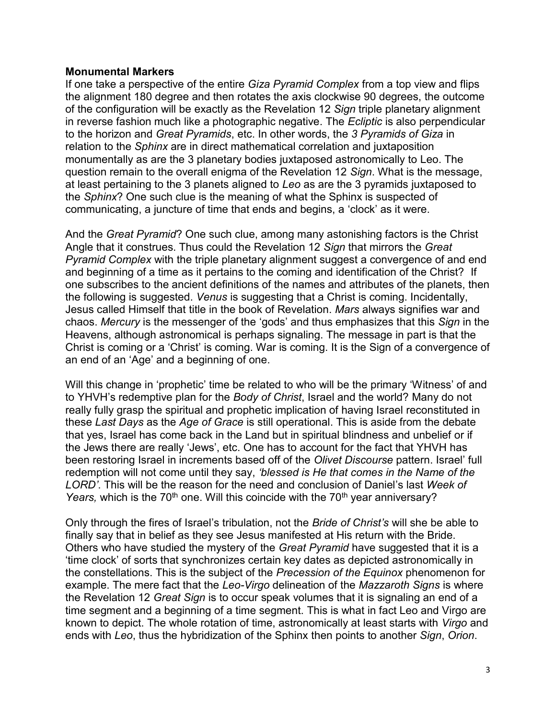#### **Monumental Markers**

If one take a perspective of the entire *Giza Pyramid Complex* from a top view and flips the alignment 180 degree and then rotates the axis clockwise 90 degrees, the outcome of the configuration will be exactly as the Revelation 12 *Sign* triple planetary alignment in reverse fashion much like a photographic negative. The *Ecliptic* is also perpendicular to the horizon and *Great Pyramids*, etc. In other words, the *3 Pyramids of Giza* in relation to the *Sphinx* are in direct mathematical correlation and juxtaposition monumentally as are the 3 planetary bodies juxtaposed astronomically to Leo. The question remain to the overall enigma of the Revelation 12 *Sign*. What is the message, at least pertaining to the 3 planets aligned to *Leo* as are the 3 pyramids juxtaposed to the *Sphinx*? One such clue is the meaning of what the Sphinx is suspected of communicating, a juncture of time that ends and begins, a 'clock' as it were.

And the *Great Pyramid*? One such clue, among many astonishing factors is the Christ Angle that it construes. Thus could the Revelation 12 *Sign* that mirrors the *Great Pyramid Complex* with the triple planetary alignment suggest a convergence of and end and beginning of a time as it pertains to the coming and identification of the Christ? If one subscribes to the ancient definitions of the names and attributes of the planets, then the following is suggested. *Venus* is suggesting that a Christ is coming. Incidentally, Jesus called Himself that title in the book of Revelation. *Mars* always signifies war and chaos. *Mercury* is the messenger of the 'gods' and thus emphasizes that this *Sign* in the Heavens, although astronomical is perhaps signaling. The message in part is that the Christ is coming or a 'Christ' is coming. War is coming. It is the Sign of a convergence of an end of an 'Age' and a beginning of one.

Will this change in 'prophetic' time be related to who will be the primary 'Witness' of and to YHVH's redemptive plan for the *Body of Christ*, Israel and the world? Many do not really fully grasp the spiritual and prophetic implication of having Israel reconstituted in these *Last Days* as the *Age of Grace* is still operational. This is aside from the debate that yes, Israel has come back in the Land but in spiritual blindness and unbelief or if the Jews there are really 'Jews', etc. One has to account for the fact that YHVH has been restoring Israel in increments based off of the *Olivet Discourse* pattern. Israel' full redemption will not come until they say, *'blessed is He that comes in the Name of the LORD'*. This will be the reason for the need and conclusion of Daniel's last *Week of Years, which is the 70<sup>th</sup> one. Will this coincide with the 70<sup>th</sup> year anniversary?* 

Only through the fires of Israel's tribulation, not the *Bride of Christ's* will she be able to finally say that in belief as they see Jesus manifested at His return with the Bride. Others who have studied the mystery of the *Great Pyramid* have suggested that it is a 'time clock' of sorts that synchronizes certain key dates as depicted astronomically in the constellations. This is the subject of the *Precession of the Equinox* phenomenon for example. The mere fact that the *Leo-Virgo* delineation of the *Mazzaroth Signs* is where the Revelation 12 *Great Sign* is to occur speak volumes that it is signaling an end of a time segment and a beginning of a time segment. This is what in fact Leo and Virgo are known to depict. The whole rotation of time, astronomically at least starts with *Virgo* and ends with *Leo*, thus the hybridization of the Sphinx then points to another *Sign*, *Orion*.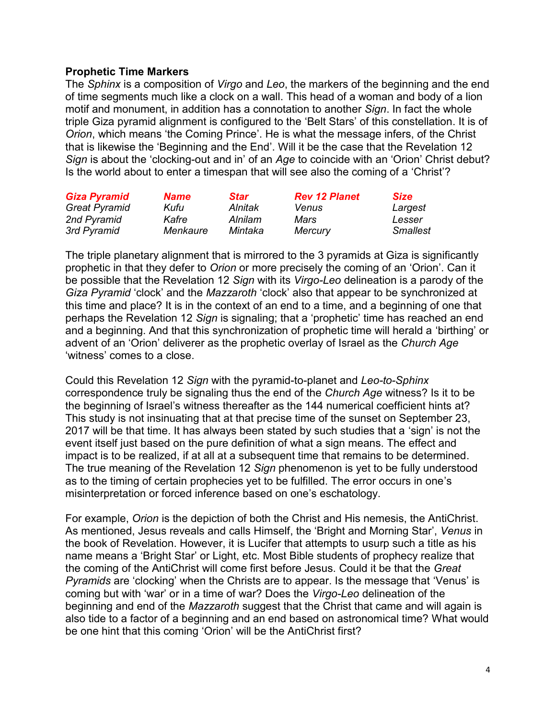#### **Prophetic Time Markers**

The *Sphinx* is a composition of *Virgo* and *Leo*, the markers of the beginning and the end of time segments much like a clock on a wall. This head of a woman and body of a lion motif and monument, in addition has a connotation to another *Sign*. In fact the whole triple Giza pyramid alignment is configured to the 'Belt Stars' of this constellation. It is of *Orion*, which means 'the Coming Prince'. He is what the message infers, of the Christ that is likewise the 'Beginning and the End'. Will it be the case that the Revelation 12 *Sign* is about the 'clocking-out and in' of an *Age* to coincide with an 'Orion' Christ debut? Is the world about to enter a timespan that will see also the coming of a 'Christ'?

| <b>Giza Pyramid</b>                 | <b>Name</b>   | <b>Star</b>        | <b>Rev 12 Planet</b> | <b>Size</b>       |
|-------------------------------------|---------------|--------------------|----------------------|-------------------|
| <b>Great Pyramid</b><br>2nd Pyramid | Kufu<br>Kafre | Alnitak<br>Alnilam | <b>Venus</b><br>Mars | Largest<br>Lesser |
|                                     |               |                    |                      |                   |

The triple planetary alignment that is mirrored to the 3 pyramids at Giza is significantly prophetic in that they defer to *Orion* or more precisely the coming of an 'Orion'. Can it be possible that the Revelation 12 *Sign* with its *Virgo-Leo* delineation is a parody of the *Giza Pyramid* 'clock' and the *Mazzaroth* 'clock' also that appear to be synchronized at this time and place? It is in the context of an end to a time, and a beginning of one that perhaps the Revelation 12 *Sign* is signaling; that a 'prophetic' time has reached an end and a beginning. And that this synchronization of prophetic time will herald a 'birthing' or advent of an 'Orion' deliverer as the prophetic overlay of Israel as the *Church Age* 'witness' comes to a close.

Could this Revelation 12 *Sign* with the pyramid-to-planet and *Leo-to-Sphinx* correspondence truly be signaling thus the end of the *Church Age* witness? Is it to be the beginning of Israel's witness thereafter as the 144 numerical coefficient hints at? This study is not insinuating that at that precise time of the sunset on September 23, 2017 will be that time. It has always been stated by such studies that a 'sign' is not the event itself just based on the pure definition of what a sign means. The effect and impact is to be realized, if at all at a subsequent time that remains to be determined. The true meaning of the Revelation 12 *Sign* phenomenon is yet to be fully understood as to the timing of certain prophecies yet to be fulfilled. The error occurs in one's misinterpretation or forced inference based on one's eschatology.

For example, *Orion* is the depiction of both the Christ and His nemesis, the AntiChrist. As mentioned, Jesus reveals and calls Himself, the 'Bright and Morning Star', *Venus* in the book of Revelation. However, it is Lucifer that attempts to usurp such a title as his name means a 'Bright Star' or Light, etc. Most Bible students of prophecy realize that the coming of the AntiChrist will come first before Jesus. Could it be that the *Great Pyramids* are 'clocking' when the Christs are to appear. Is the message that 'Venus' is coming but with 'war' or in a time of war? Does the *Virgo-Leo* delineation of the beginning and end of the *Mazzaroth* suggest that the Christ that came and will again is also tide to a factor of a beginning and an end based on astronomical time? What would be one hint that this coming 'Orion' will be the AntiChrist first?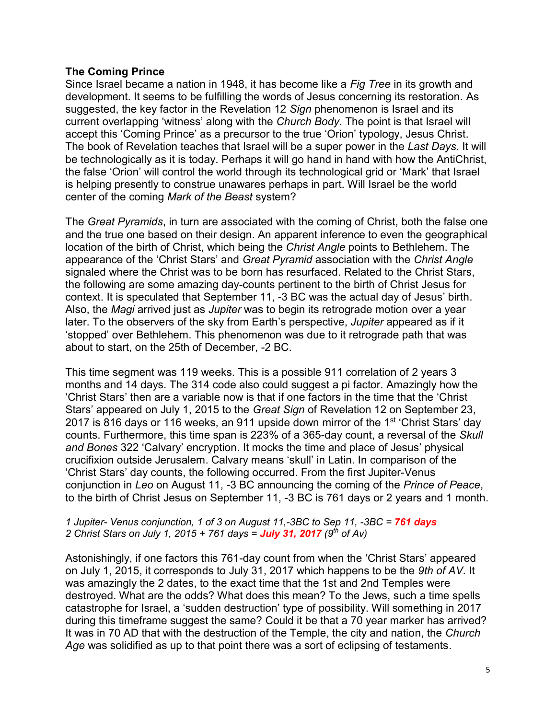#### **The Coming Prince**

Since Israel became a nation in 1948, it has become like a *Fig Tree* in its growth and development. It seems to be fulfilling the words of Jesus concerning its restoration. As suggested, the key factor in the Revelation 12 *Sign* phenomenon is Israel and its current overlapping 'witness' along with the *Church Body*. The point is that Israel will accept this 'Coming Prince' as a precursor to the true 'Orion' typology, Jesus Christ. The book of Revelation teaches that Israel will be a super power in the *Last Days*. It will be technologically as it is today. Perhaps it will go hand in hand with how the AntiChrist, the false 'Orion' will control the world through its technological grid or 'Mark' that Israel is helping presently to construe unawares perhaps in part. Will Israel be the world center of the coming *Mark of the Beast* system?

The *Great Pyramids*, in turn are associated with the coming of Christ, both the false one and the true one based on their design. An apparent inference to even the geographical location of the birth of Christ, which being the *Christ Angle* points to Bethlehem. The appearance of the 'Christ Stars' and *Great Pyramid* association with the *Christ Angle* signaled where the Christ was to be born has resurfaced. Related to the Christ Stars, the following are some amazing day-counts pertinent to the birth of Christ Jesus for context. It is speculated that September 11, -3 BC was the actual day of Jesus' birth. Also, the *Magi* arrived just as *Jupiter* was to begin its retrograde motion over a year later. To the observers of the sky from Earth's perspective, *Jupiter* appeared as if it 'stopped' over Bethlehem. This phenomenon was due to it retrograde path that was about to start, on the 25th of December, -2 BC.

This time segment was 119 weeks. This is a possible 911 correlation of 2 years 3 months and 14 days. The 314 code also could suggest a pi factor. Amazingly how the 'Christ Stars' then are a variable now is that if one factors in the time that the 'Christ Stars' appeared on July 1, 2015 to the *Great Sign* of Revelation 12 on September 23, 2017 is 816 days or 116 weeks, an 911 upside down mirror of the 1<sup>st</sup> 'Christ Stars' day counts. Furthermore, this time span is 223% of a 365-day count, a reversal of the *Skull and Bones* 322 'Calvary' encryption. It mocks the time and place of Jesus' physical crucifixion outside Jerusalem. Calvary means 'skull' in Latin. In comparison of the 'Christ Stars' day counts, the following occurred. From the first Jupiter-Venus conjunction in *Leo* on August 11, -3 BC announcing the coming of the *Prince of Peace*, to the birth of Christ Jesus on September 11, -3 BC is 761 days or 2 years and 1 month.

#### *1 Jupiter- Venus conjunction, 1 of 3 on August 11,-3BC to Sep 11, -3BC = 761 days 2 Christ Stars on July 1, 2015 + 761 days = July 31, 2017 (9th of Av)*

Astonishingly, if one factors this 761-day count from when the 'Christ Stars' appeared on July 1, 2015, it corresponds to July 31, 2017 which happens to be the *9th of AV*. It was amazingly the 2 dates, to the exact time that the 1st and 2nd Temples were destroyed. What are the odds? What does this mean? To the Jews, such a time spells catastrophe for Israel, a 'sudden destruction' type of possibility. Will something in 2017 during this timeframe suggest the same? Could it be that a 70 year marker has arrived? It was in 70 AD that with the destruction of the Temple, the city and nation, the *Church Age* was solidified as up to that point there was a sort of eclipsing of testaments.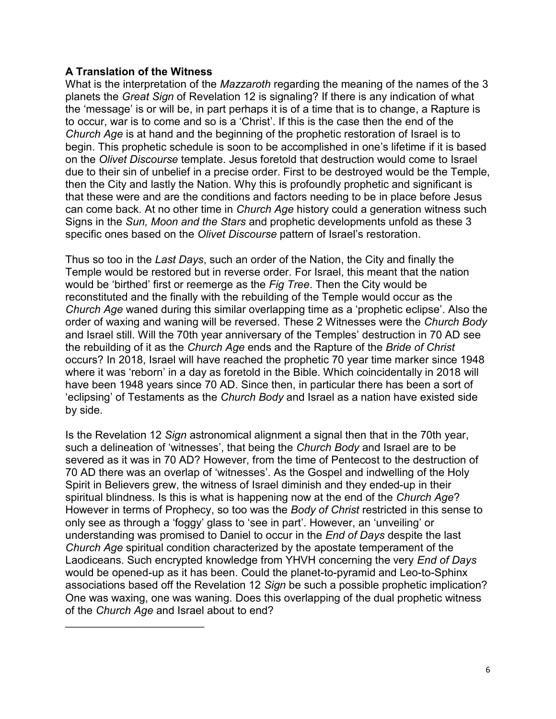### **A Translation of the Witness**

\_\_\_\_\_\_\_\_\_\_\_\_\_\_\_\_\_\_\_\_\_\_\_\_\_

What is the interpretation of the *Mazzaroth* regarding the meaning of the names of the 3 planets the *Great Sign* of Revelation 12 is signaling? If there is any indication of what the 'message' is or will be, in part perhaps it is of a time that is to change, a Rapture is to occur, war is to come and so is a 'Christ'. If this is the case then the end of the *Church Age* is at hand and the beginning of the prophetic restoration of Israel is to begin. This prophetic schedule is soon to be accomplished in one's lifetime if it is based on the *Olivet Discourse* template. Jesus foretold that destruction would come to Israel due to their sin of unbelief in a precise order. First to be destroyed would be the Temple, then the City and lastly the Nation. Why this is profoundly prophetic and significant is that these were and are the conditions and factors needing to be in place before Jesus can come back. At no other time in *Church Age* history could a generation witness such Signs in the *Sun, Moon and the Stars* and prophetic developments unfold as these 3 specific ones based on the *Olivet Discourse* pattern of Israel's restoration.

Thus so too in the *Last Days*, such an order of the Nation, the City and finally the Temple would be restored but in reverse order. For Israel, this meant that the nation would be 'birthed' first or reemerge as the *Fig Tree*. Then the City would be reconstituted and the finally with the rebuilding of the Temple would occur as the *Church Age* waned during this similar overlapping time as a 'prophetic eclipse'. Also the order of waxing and waning will be reversed. These 2 Witnesses were the *Church Body* and Israel still. Will the 70th year anniversary of the Temples' destruction in 70 AD see the rebuilding of it as the *Church Age* ends and the Rapture of the *Bride of Christ* occurs? In 2018, Israel will have reached the prophetic 70 year time marker since 1948 where it was 'reborn' in a day as foretold in the Bible. Which coincidentally in 2018 will have been 1948 years since 70 AD. Since then, in particular there has been a sort of 'eclipsing' of Testaments as the *Church Body* and Israel as a nation have existed side by side.

Is the Revelation 12 *Sign* astronomical alignment a signal then that in the 70th year, such a delineation of 'witnesses', that being the *Church Body* and Israel are to be severed as it was in 70 AD? However, from the time of Pentecost to the destruction of 70 AD there was an overlap of 'witnesses'. As the Gospel and indwelling of the Holy Spirit in Believers grew, the witness of Israel diminish and they ended-up in their spiritual blindness. Is this is what is happening now at the end of the *Church Age*? However in terms of Prophecy, so too was the *Body of Christ* restricted in this sense to only see as through a 'foggy' glass to 'see in part'. However, an 'unveiling' or understanding was promised to Daniel to occur in the *End of Days* despite the last *Church Age* spiritual condition characterized by the apostate temperament of the Laodiceans. Such encrypted knowledge from YHVH concerning the very *End of Days* would be opened-up as it has been. Could the planet-to-pyramid and Leo-to-Sphinx associations based off the Revelation 12 *Sign* be such a possible prophetic implication? One was waxing, one was waning. Does this overlapping of the dual prophetic witness of the *Church Age* and Israel about to end?